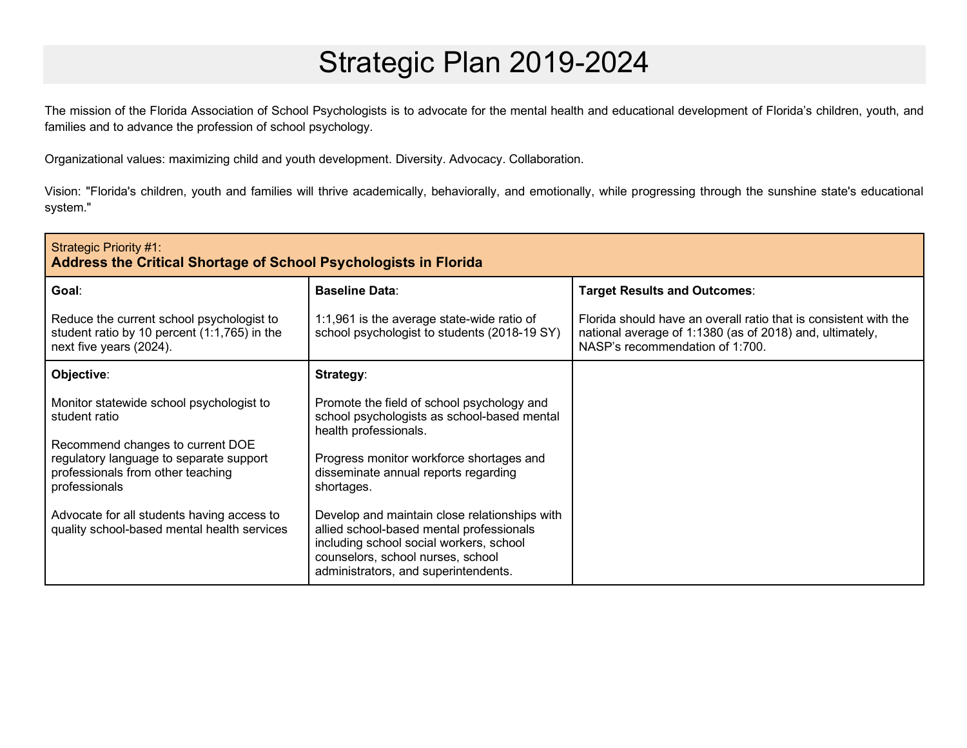## Strategic Plan 2019-2024

The mission of the Florida Association of School Psychologists is to advocate for the mental health and educational development of Florida's children, youth, and families and to advance the profession of school psychology.

Organizational values: maximizing child and youth development. Diversity. Advocacy. Collaboration.

Vision: "Florida's children, youth and families will thrive academically, behaviorally, and emotionally, while progressing through the sunshine state's educational system."

| Strategic Priority #1:<br>Address the Critical Shortage of School Psychologists in Florida                                                                                                                                                                                                  |                                                                                                                                                                                                                                                                                                                                                                                                                                           |                                                                                                                                                                 |  |
|---------------------------------------------------------------------------------------------------------------------------------------------------------------------------------------------------------------------------------------------------------------------------------------------|-------------------------------------------------------------------------------------------------------------------------------------------------------------------------------------------------------------------------------------------------------------------------------------------------------------------------------------------------------------------------------------------------------------------------------------------|-----------------------------------------------------------------------------------------------------------------------------------------------------------------|--|
| Goal:                                                                                                                                                                                                                                                                                       | <b>Baseline Data:</b>                                                                                                                                                                                                                                                                                                                                                                                                                     | <b>Target Results and Outcomes:</b>                                                                                                                             |  |
| Reduce the current school psychologist to<br>student ratio by 10 percent (1:1,765) in the<br>next five years (2024).                                                                                                                                                                        | 1:1,961 is the average state-wide ratio of<br>school psychologist to students (2018-19 SY)                                                                                                                                                                                                                                                                                                                                                | Florida should have an overall ratio that is consistent with the<br>national average of 1:1380 (as of 2018) and, ultimately,<br>NASP's recommendation of 1:700. |  |
| Objective:                                                                                                                                                                                                                                                                                  | Strategy:                                                                                                                                                                                                                                                                                                                                                                                                                                 |                                                                                                                                                                 |  |
| Monitor statewide school psychologist to<br>student ratio<br>Recommend changes to current DOE<br>regulatory language to separate support<br>professionals from other teaching<br>professionals<br>Advocate for all students having access to<br>quality school-based mental health services | Promote the field of school psychology and<br>school psychologists as school-based mental<br>health professionals.<br>Progress monitor workforce shortages and<br>disseminate annual reports regarding<br>shortages.<br>Develop and maintain close relationships with<br>allied school-based mental professionals<br>including school social workers, school<br>counselors, school nurses, school<br>administrators, and superintendents. |                                                                                                                                                                 |  |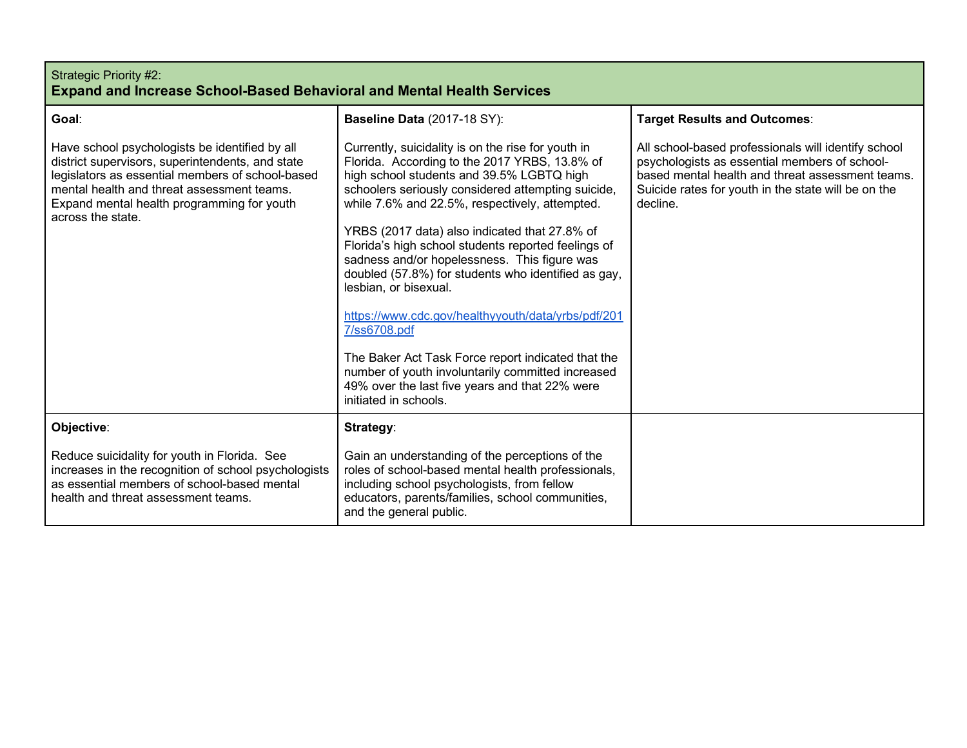| Strategic Priority #2:                                                        |  |
|-------------------------------------------------------------------------------|--|
| <b>Expand and Increase School-Based Behavioral and Mental Health Services</b> |  |

| Goal:                                                                                                                                                                                                                                                                   | <b>Baseline Data (2017-18 SY):</b>                                                                                                                                                                                                                                                                                                                                                                                                                                                                                                                                                                                                                                                                                                                           | <b>Target Results and Outcomes:</b>                                                                                                                                                                                         |
|-------------------------------------------------------------------------------------------------------------------------------------------------------------------------------------------------------------------------------------------------------------------------|--------------------------------------------------------------------------------------------------------------------------------------------------------------------------------------------------------------------------------------------------------------------------------------------------------------------------------------------------------------------------------------------------------------------------------------------------------------------------------------------------------------------------------------------------------------------------------------------------------------------------------------------------------------------------------------------------------------------------------------------------------------|-----------------------------------------------------------------------------------------------------------------------------------------------------------------------------------------------------------------------------|
| Have school psychologists be identified by all<br>district supervisors, superintendents, and state<br>legislators as essential members of school-based<br>mental health and threat assessment teams.<br>Expand mental health programming for youth<br>across the state. | Currently, suicidality is on the rise for youth in<br>Florida. According to the 2017 YRBS, 13.8% of<br>high school students and 39.5% LGBTQ high<br>schoolers seriously considered attempting suicide,<br>while 7.6% and 22.5%, respectively, attempted.<br>YRBS (2017 data) also indicated that 27.8% of<br>Florida's high school students reported feelings of<br>sadness and/or hopelessness. This figure was<br>doubled (57.8%) for students who identified as gay,<br>lesbian, or bisexual.<br>https://www.cdc.gov/healthyyouth/data/yrbs/pdf/201<br>7/ss6708.pdf<br>The Baker Act Task Force report indicated that the<br>number of youth involuntarily committed increased<br>49% over the last five years and that 22% were<br>initiated in schools. | All school-based professionals will identify school<br>psychologists as essential members of school-<br>based mental health and threat assessment teams.<br>Suicide rates for youth in the state will be on the<br>decline. |
| Objective:                                                                                                                                                                                                                                                              | Strategy:                                                                                                                                                                                                                                                                                                                                                                                                                                                                                                                                                                                                                                                                                                                                                    |                                                                                                                                                                                                                             |
| Reduce suicidality for youth in Florida. See<br>increases in the recognition of school psychologists<br>as essential members of school-based mental<br>health and threat assessment teams.                                                                              | Gain an understanding of the perceptions of the<br>roles of school-based mental health professionals,<br>including school psychologists, from fellow<br>educators, parents/families, school communities,<br>and the general public.                                                                                                                                                                                                                                                                                                                                                                                                                                                                                                                          |                                                                                                                                                                                                                             |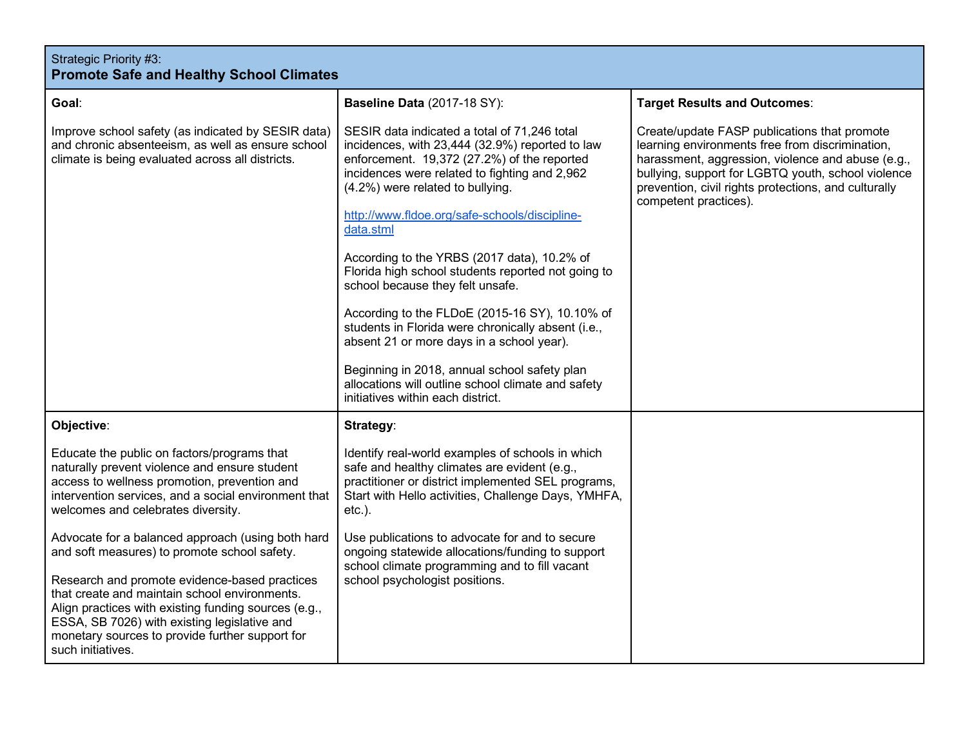| Strategic Priority #3:<br><b>Promote Safe and Healthy School Climates</b>                                                                                                                                                                                                                                                                                                           |                                                                                                                                                                                                                                                                                                                                                                                                                                                                                                                                                                                                                                                                                                                                            |                                                                                                                                                                                                                                                                                             |
|-------------------------------------------------------------------------------------------------------------------------------------------------------------------------------------------------------------------------------------------------------------------------------------------------------------------------------------------------------------------------------------|--------------------------------------------------------------------------------------------------------------------------------------------------------------------------------------------------------------------------------------------------------------------------------------------------------------------------------------------------------------------------------------------------------------------------------------------------------------------------------------------------------------------------------------------------------------------------------------------------------------------------------------------------------------------------------------------------------------------------------------------|---------------------------------------------------------------------------------------------------------------------------------------------------------------------------------------------------------------------------------------------------------------------------------------------|
| Goal:                                                                                                                                                                                                                                                                                                                                                                               | <b>Baseline Data (2017-18 SY):</b>                                                                                                                                                                                                                                                                                                                                                                                                                                                                                                                                                                                                                                                                                                         | <b>Target Results and Outcomes:</b>                                                                                                                                                                                                                                                         |
| Improve school safety (as indicated by SESIR data)<br>and chronic absenteeism, as well as ensure school<br>climate is being evaluated across all districts.                                                                                                                                                                                                                         | SESIR data indicated a total of 71,246 total<br>incidences, with 23,444 (32.9%) reported to law<br>enforcement. 19,372 (27.2%) of the reported<br>incidences were related to fighting and 2,962<br>(4.2%) were related to bullying.<br>http://www.fldoe.org/safe-schools/discipline-<br>data.stml<br>According to the YRBS (2017 data), 10.2% of<br>Florida high school students reported not going to<br>school because they felt unsafe.<br>According to the FLDoE (2015-16 SY), 10.10% of<br>students in Florida were chronically absent (i.e.,<br>absent 21 or more days in a school year).<br>Beginning in 2018, annual school safety plan<br>allocations will outline school climate and safety<br>initiatives within each district. | Create/update FASP publications that promote<br>learning environments free from discrimination,<br>harassment, aggression, violence and abuse (e.g.,<br>bullying, support for LGBTQ youth, school violence<br>prevention, civil rights protections, and culturally<br>competent practices). |
| Objective:                                                                                                                                                                                                                                                                                                                                                                          | Strategy:                                                                                                                                                                                                                                                                                                                                                                                                                                                                                                                                                                                                                                                                                                                                  |                                                                                                                                                                                                                                                                                             |
| Educate the public on factors/programs that<br>naturally prevent violence and ensure student<br>access to wellness promotion, prevention and<br>intervention services, and a social environment that<br>welcomes and celebrates diversity.                                                                                                                                          | Identify real-world examples of schools in which<br>safe and healthy climates are evident (e.g.,<br>practitioner or district implemented SEL programs,<br>Start with Hello activities, Challenge Days, YMHFA,<br>$etc.$ ).                                                                                                                                                                                                                                                                                                                                                                                                                                                                                                                 |                                                                                                                                                                                                                                                                                             |
| Advocate for a balanced approach (using both hard<br>and soft measures) to promote school safety.<br>Research and promote evidence-based practices<br>that create and maintain school environments.<br>Align practices with existing funding sources (e.g.,<br>ESSA, SB 7026) with existing legislative and<br>monetary sources to provide further support for<br>such initiatives. | Use publications to advocate for and to secure<br>ongoing statewide allocations/funding to support<br>school climate programming and to fill vacant<br>school psychologist positions.                                                                                                                                                                                                                                                                                                                                                                                                                                                                                                                                                      |                                                                                                                                                                                                                                                                                             |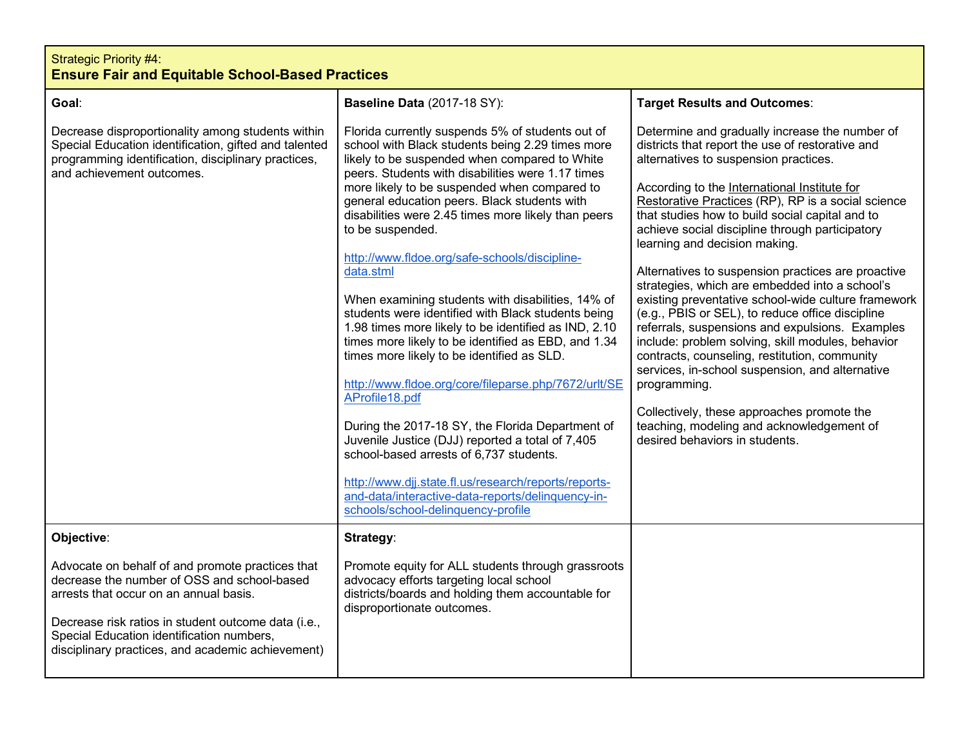| <b>Strategic Priority #4:</b><br><b>Ensure Fair and Equitable School-Based Practices</b>                                                                                                                                                                                                           |                                                                                                                                                                                                                                                                                                                                                                                                                                                                                                                                                                                                                                                                                                                                                                                                                                                                                                                                                                                                                                                                                                             |                                                                                                                                                                                                                                                                                                                                                                                                                                                                                                                                                                                                                                                                                                                                                                                                                                                                                                                                                                      |  |
|----------------------------------------------------------------------------------------------------------------------------------------------------------------------------------------------------------------------------------------------------------------------------------------------------|-------------------------------------------------------------------------------------------------------------------------------------------------------------------------------------------------------------------------------------------------------------------------------------------------------------------------------------------------------------------------------------------------------------------------------------------------------------------------------------------------------------------------------------------------------------------------------------------------------------------------------------------------------------------------------------------------------------------------------------------------------------------------------------------------------------------------------------------------------------------------------------------------------------------------------------------------------------------------------------------------------------------------------------------------------------------------------------------------------------|----------------------------------------------------------------------------------------------------------------------------------------------------------------------------------------------------------------------------------------------------------------------------------------------------------------------------------------------------------------------------------------------------------------------------------------------------------------------------------------------------------------------------------------------------------------------------------------------------------------------------------------------------------------------------------------------------------------------------------------------------------------------------------------------------------------------------------------------------------------------------------------------------------------------------------------------------------------------|--|
| Goal:                                                                                                                                                                                                                                                                                              | Baseline Data (2017-18 SY):                                                                                                                                                                                                                                                                                                                                                                                                                                                                                                                                                                                                                                                                                                                                                                                                                                                                                                                                                                                                                                                                                 | <b>Target Results and Outcomes:</b>                                                                                                                                                                                                                                                                                                                                                                                                                                                                                                                                                                                                                                                                                                                                                                                                                                                                                                                                  |  |
| Decrease disproportionality among students within<br>Special Education identification, gifted and talented<br>programming identification, disciplinary practices,<br>and achievement outcomes.                                                                                                     | Florida currently suspends 5% of students out of<br>school with Black students being 2.29 times more<br>likely to be suspended when compared to White<br>peers. Students with disabilities were 1.17 times<br>more likely to be suspended when compared to<br>general education peers. Black students with<br>disabilities were 2.45 times more likely than peers<br>to be suspended.<br>http://www.fldoe.org/safe-schools/discipline-<br>data.stml<br>When examining students with disabilities, 14% of<br>students were identified with Black students being<br>1.98 times more likely to be identified as IND, 2.10<br>times more likely to be identified as EBD, and 1.34<br>times more likely to be identified as SLD.<br>http://www.fldoe.org/core/fileparse.php/7672/urlt/SE<br>AProfile18.pdf<br>During the 2017-18 SY, the Florida Department of<br>Juvenile Justice (DJJ) reported a total of 7,405<br>school-based arrests of 6,737 students.<br>http://www.djj.state.fl.us/research/reports/reports-<br>and-data/interactive-data-reports/delinquency-in-<br>schools/school-delinquency-profile | Determine and gradually increase the number of<br>districts that report the use of restorative and<br>alternatives to suspension practices.<br>According to the International Institute for<br>Restorative Practices (RP), RP is a social science<br>that studies how to build social capital and to<br>achieve social discipline through participatory<br>learning and decision making.<br>Alternatives to suspension practices are proactive<br>strategies, which are embedded into a school's<br>existing preventative school-wide culture framework<br>(e.g., PBIS or SEL), to reduce office discipline<br>referrals, suspensions and expulsions. Examples<br>include: problem solving, skill modules, behavior<br>contracts, counseling, restitution, community<br>services, in-school suspension, and alternative<br>programming.<br>Collectively, these approaches promote the<br>teaching, modeling and acknowledgement of<br>desired behaviors in students. |  |
| Objective:                                                                                                                                                                                                                                                                                         | Strategy:                                                                                                                                                                                                                                                                                                                                                                                                                                                                                                                                                                                                                                                                                                                                                                                                                                                                                                                                                                                                                                                                                                   |                                                                                                                                                                                                                                                                                                                                                                                                                                                                                                                                                                                                                                                                                                                                                                                                                                                                                                                                                                      |  |
| Advocate on behalf of and promote practices that<br>decrease the number of OSS and school-based<br>arrests that occur on an annual basis.<br>Decrease risk ratios in student outcome data (i.e.,<br>Special Education identification numbers,<br>disciplinary practices, and academic achievement) | Promote equity for ALL students through grassroots<br>advocacy efforts targeting local school<br>districts/boards and holding them accountable for<br>disproportionate outcomes.                                                                                                                                                                                                                                                                                                                                                                                                                                                                                                                                                                                                                                                                                                                                                                                                                                                                                                                            |                                                                                                                                                                                                                                                                                                                                                                                                                                                                                                                                                                                                                                                                                                                                                                                                                                                                                                                                                                      |  |